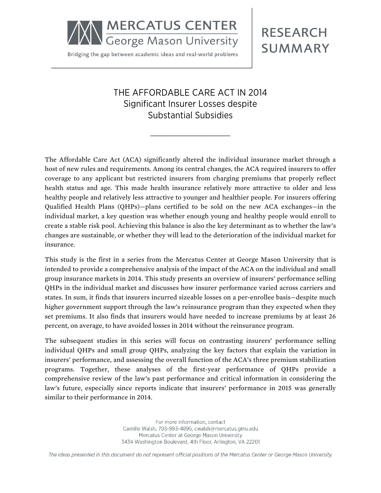**MERCATUS CENTER**<br>George Mason University

Bridging the gap between academic ideas and real-world problems

# **RESEARCH SUMMARY**

## THE AFFORDABLE CARE ACT IN 2014 Significant Insurer Losses despite Substantial Subsidies

\_\_\_\_\_\_\_\_\_\_\_\_\_\_\_\_\_\_\_\_\_

The Affordable Care Act (ACA) significantly altered the individual insurance market through a host of new rules and requirements. Among its central changes, the ACA required insurers to offer coverage to any applicant but restricted insurers from charging premiums that properly reflect health status and age. This made health insurance relatively more attractive to older and less healthy people and relatively less attractive to younger and healthier people. For insurers offering Qualified Health Plans (QHPs)—plans certified to be sold on the new ACA exchanges—in the individual market, a key question was whether enough young and healthy people would enroll to create a stable risk pool. Achieving this balance is also the key determinant as to whether the law's changes are sustainable, or whether they will lead to the deterioration of the individual market for insurance.

This study is the first in a series from the Mercatus Center at George Mason University that is intended to provide a comprehensive analysis of the impact of the ACA on the individual and small group insurance markets in 2014. This study presents an overview of insurers' performance selling QHPs in the individual market and discusses how insurer performance varied across carriers and states. In sum, it finds that insurers incurred sizeable losses on a per-enrollee basis—despite much higher government support through the law's reinsurance program than they expected when they set premiums. It also finds that insurers would have needed to increase premiums by at least 26 percent, on average, to have avoided losses in 2014 without the reinsurance program.

The subsequent studies in this series will focus on contrasting insurers' performance selling individual QHPs and small group QHPs, analyzing the key factors that explain the variation in insurers' performance, and assessing the overall function of the ACA's three premium stabilization programs. Together, these analyses of the first-year performance of QHPs provide a comprehensive review of the law's past performance and critical information in considering the law's future, especially since reports indicate that insurers' performance in 2015 was generally similar to their performance in 2014.

> For more information, contact Camille Walsh, 703-993-4895, cwalsh@mercatus.gmu.edu Mercatus Center at George Mason University 3434 Washington Boulevard, 4th Floor, Arlington, VA 22201

The ideas presented in this document do not represent official positions of the Mercatus Center or George Mason University.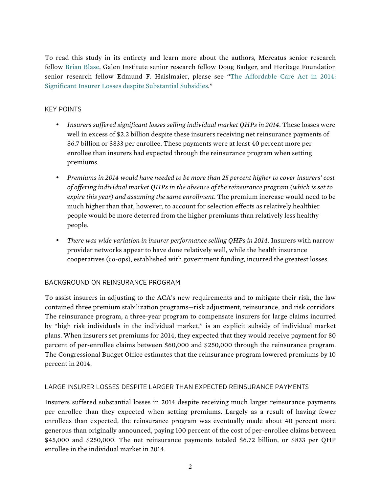To read this study in its entirety and learn more about the authors, Mercatus senior research fellow [Brian Blase,](http://mercatus.org/brian-blase) Galen Institute senior research fellow Doug Badger, and Heritage Foundation senior research fellow Edmund F. Haislmaier, please see "[The Affordable Care Act in 2014:](http://mercatus.org/publication/affordable-care-act-2014-significant-insurer-losses-despite-substantial-subsidies)  [Significant Insurer Losses despite Substantial Subsidies.](http://mercatus.org/publication/affordable-care-act-2014-significant-insurer-losses-despite-substantial-subsidies)"

#### KEY POINTS

- *Insurers suffered significant losses selling individual market QHPs in 2014*. These losses were well in excess of \$2.2 billion despite these insurers receiving net reinsurance payments of \$6.7 billion or \$833 per enrollee. These payments were at least 40 percent more per enrollee than insurers had expected through the reinsurance program when setting premiums.
- *Premiums in 2014 would have needed to be more than 25 percent higher to cover insurers' cost of offering individual market QHPs in the absence of the reinsurance program (which is set to expire this year) and assuming the same enrollment*. The premium increase would need to be much higher than that, however, to account for selection effects as relatively healthier people would be more deterred from the higher premiums than relatively less healthy people.
- *There was wide variation in insurer performance selling QHPs in 2014*. Insurers with narrow provider networks appear to have done relatively well, while the health insurance cooperatives (co-ops), established with government funding, incurred the greatest losses.

#### BACKGROUND ON REINSURANCE PROGRAM

To assist insurers in adjusting to the ACA's new requirements and to mitigate their risk, the law contained three premium stabilization programs—risk adjustment, reinsurance, and risk corridors. The reinsurance program, a three-year program to compensate insurers for large claims incurred by "high risk individuals in the individual market," is an explicit subsidy of individual market plans. When insurers set premiums for 2014, they expected that they would receive payment for 80 percent of per-enrollee claims between \$60,000 and \$250,000 through the reinsurance program. The Congressional Budget Office estimates that the reinsurance program lowered premiums by 10 percent in 2014.

#### LARGE INSURER LOSSES DESPITE LARGER THAN EXPECTED REINSURANCE PAYMENTS

Insurers suffered substantial losses in 2014 despite receiving much larger reinsurance payments per enrollee than they expected when setting premiums. Largely as a result of having fewer enrollees than expected, the reinsurance program was eventually made about 40 percent more generous than originally announced, paying 100 percent of the cost of per-enrollee claims between \$45,000 and \$250,000. The net reinsurance payments totaled \$6.72 billion, or \$833 per QHP enrollee in the individual market in 2014.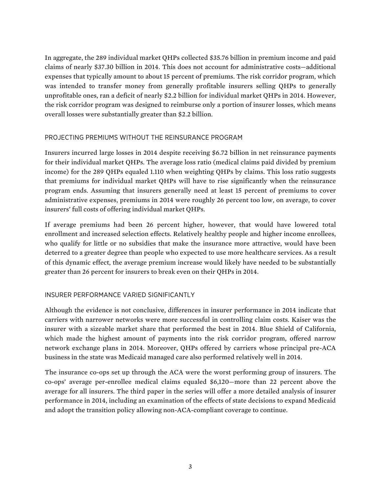In aggregate, the 289 individual market QHPs collected \$35.76 billion in premium income and paid claims of nearly \$37.30 billion in 2014. This does not account for administrative costs—additional expenses that typically amount to about 15 percent of premiums. The risk corridor program, which was intended to transfer money from generally profitable insurers selling QHPs to generally unprofitable ones, ran a deficit of nearly \$2.2 billion for individual market QHPs in 2014. However, the risk corridor program was designed to reimburse only a portion of insurer losses, which means overall losses were substantially greater than \$2.2 billion.

#### PROJECTING PREMIUMS WITHOUT THE REINSURANCE PROGRAM

Insurers incurred large losses in 2014 despite receiving \$6.72 billion in net reinsurance payments for their individual market QHPs. The average loss ratio (medical claims paid divided by premium income) for the 289 QHPs equaled 1.110 when weighting QHPs by claims. This loss ratio suggests that premiums for individual market QHPs will have to rise significantly when the reinsurance program ends. Assuming that insurers generally need at least 15 percent of premiums to cover administrative expenses, premiums in 2014 were roughly 26 percent too low, on average, to cover insurers' full costs of offering individual market QHPs.

If average premiums had been 26 percent higher, however, that would have lowered total enrollment and increased selection effects. Relatively healthy people and higher income enrollees, who qualify for little or no subsidies that make the insurance more attractive, would have been deterred to a greater degree than people who expected to use more healthcare services. As a result of this dynamic effect, the average premium increase would likely have needed to be substantially greater than 26 percent for insurers to break even on their QHPs in 2014.

### INSURER PERFORMANCE VARIED SIGNIFICANTLY

Although the evidence is not conclusive, differences in insurer performance in 2014 indicate that carriers with narrower networks were more successful in controlling claim costs. Kaiser was the insurer with a sizeable market share that performed the best in 2014. Blue Shield of California, which made the highest amount of payments into the risk corridor program, offered narrow network exchange plans in 2014. Moreover, QHPs offered by carriers whose principal pre-ACA business in the state was Medicaid managed care also performed relatively well in 2014.

The insurance co-ops set up through the ACA were the worst performing group of insurers. The co-ops' average per-enrollee medical claims equaled \$6,120—more than 22 percent above the average for all insurers. The third paper in the series will offer a more detailed analysis of insurer performance in 2014, including an examination of the effects of state decisions to expand Medicaid and adopt the transition policy allowing non-ACA-compliant coverage to continue.